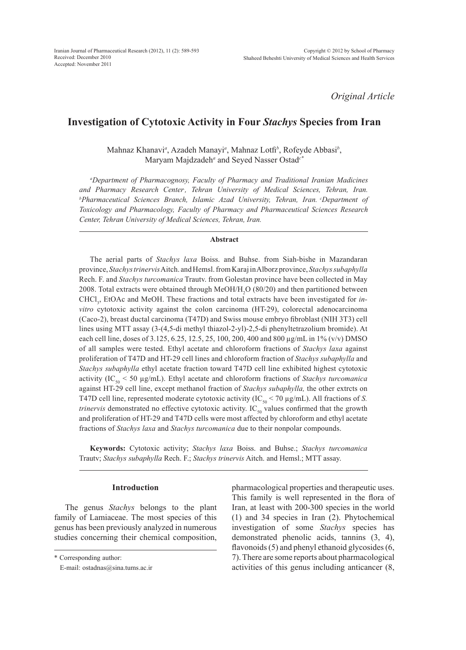*Original Article*

# **Investigation of Cytotoxic Activity in Four** *Stachys* **Species from Iran**

Mahnaz Khanavi*<sup>a</sup>* , Azadeh Manayi*<sup>a</sup>* , Mahnaz Lotfi*<sup>b</sup>* , Rofeyde Abbasi*<sup>b</sup>* , Maryam Majdzadeh*<sup>a</sup>* and Seyed Nasser Ostad*c\**

*a Department of Pharmacognosy, Faculty of Pharmacy and Traditional Iranian Madicines and Pharmacy Research Center. , Tehran University of Medical Sciences, Tehran, Iran. b Pharmaceutical Sciences Branch, Islamic Azad University, Tehran, Iran. cDepartment of Toxicology and Pharmacology, Faculty of Pharmacy and Pharmaceutical Sciences Research Center, Tehran University of Medical Sciences, Tehran, Iran.*

#### **Abstract**

The aerial parts of *Stachys laxa* Boiss. and Buhse. from Siah-bishe in Mazandaran province, *Stachys trinervis* Aitch. and Hemsl. from Karaj in Alborz province, *Stachys subaphylla*  Rech. F. and *Stachys turcomanica* Trautv. from Golestan province have been collected in May 2008. Total extracts were obtained through  $MeOH/H_2O$  (80/20) and then partitioned between CHCl<sub>3</sub>, EtOAc and MeOH. These fractions and total extracts have been investigated for *invitro* cytotoxic activity against the colon carcinoma (HT-29), colorectal adenocarcinoma (Caco-2), breast ductal carcinoma (T47D) and Swiss mouse embryo fibroblast (NIH 3T3) cell lines using MTT assay (3-(4,5-di methyl thiazol-2-yl)-2,5-di phenyltetrazolium bromide). At each cell line, doses of 3.125, 6.25, 12.5, 25, 100, 200, 400 and 800 µg/mL in 1% (v/v) DMSO of all samples were tested. Ethyl acetate and chloroform fractions of *Stachys laxa* against proliferation of T47D and HT-29 cell lines and chloroform fraction of *Stachys subaphylla* and *Stachys subaphylla* ethyl acetate fraction toward T47D cell line exhibited highest cytotoxic activity (IC<sub>50</sub>  $\leq$  50 µg/mL). Ethyl acetate and chloroform fractions of *Stachys turcomanica* against HT-29 cell line, except methanol fraction of *Stachys subaphylla,* the other extrcts on T47D cell line, represented moderate cytotoxic activity ( $IC_{50}$  < 70  $\mu$ g/mL). All fractions of *S*. *trinervis* demonstrated no effective cytotoxic activity. IC<sub>50</sub> values confirmed that the growth and proliferation of HT-29 and T47D cells were most affected by chloroform and ethyl acetate fractions of *Stachys laxa* and *Stachys turcomanica* due to their nonpolar compounds.

**Keywords:** Cytotoxic activity; *Stachys laxa* Boiss. and Buhse.; *Stachys turcomanica*  Trautv; *Stachys subaphylla* Rech. F.; *Stachys trinervis* Aitch. and Hemsl.; MTT assay.

# **Introduction**

The genus *Stachys* belongs to the plant family of Lamiaceae. The most species of this genus has been previously analyzed in numerous studies concerning their chemical composition,

pharmacological properties and therapeutic uses. This family is well represented in the flora of Iran, at least with 200-300 species in the world (1) and 34 species in Iran (2). Phytochemical investigation of some *Stachys* species has demonstrated phenolic acids, tannins (3, 4), flavonoids (5) and phenyl ethanoid glycosides (6, 7). There are some reports about pharmacological activities of this genus including anticancer (8,

<sup>\*</sup> Corresponding author:

E-mail: ostadnas@sina.tums.ac.ir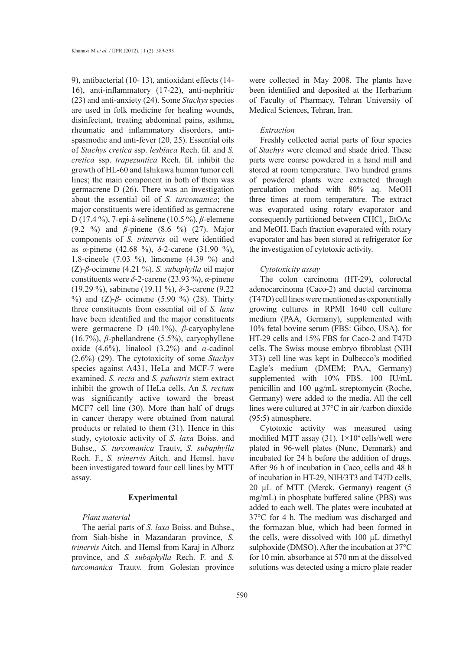9), antibacterial (10- 13), antioxidant effects (14- 16), anti-inflammatory (17-22), anti-nephritic (23) and anti-anxiety (24). Some *Stachys* species are used in folk medicine for healing wounds, disinfectant, treating abdominal pains, asthma, rheumatic and inflammatory disorders, antispasmodic and anti-fever (20, 25). Essential oils of *Stachys cretica* ssp. *lesbiaca* Rech. fil. and *S. cretica* ssp. *trapezuntica* Rech. fil. inhibit the growth of HL-60 and Ishikawa human tumor cell lines; the main component in both of them was germacrene D (26). There was an investigation about the essential oil of *S. turcomanica*; the major constituents were identified as germacrene D (17.4 %), 7-epi-á-selinene (10.5 %), *β*-elemene (9.2 %) and *β*-pinene (8.6 %) (27). Major components of *S. trinervis* oil were identified as *α*-pinene (42.68 %), *δ*-2-carene (31.90 %), 1,8-cineole (7.03 %), limonene (4.39 %) and (Z)-*β*-ocimene (4.21 %). *S. subaphylla* oil major constituents were *δ*-2-carene (23.93 %), *α*-pinene (19.29 %), sabinene (19.11 %), *δ*-3-carene (9.22 %) and (Z)-*β*- ocimene (5.90 %) (28). Thirty three constituents from essential oil of *S. laxa* have been identified and the major constituents were germacrene D (40.1%), *β*-caryophylene (16.7%), *β*-phellandrene (5.5%), caryophyllene oxide (4.6%), linalool (3.2%) and  $\alpha$ -cadinol (2.6%) (29). The cytotoxicity of some *Stachys* species against A431, HeLa and MCF-7 were examined. *S. recta* and *S. palustris* stem extract inhibit the growth of HeLa cells. An *S. rectum*  was significantly active toward the breast MCF7 cell line (30). More than half of drugs in cancer therapy were obtained from natural products or related to them (31). Hence in this study, cytotoxic activity of *S. laxa* Boiss. and Buhse., *S. turcomanica* Trautv, *S. subaphylla* Rech. F., *S. trinervis* Aitch. and Hemsl. have been investigated toward four cell lines by MTT assay.

#### **Experimental**

# *Plant material*

The aerial parts of *S. laxa* Boiss. and Buhse., from Siah-bishe in Mazandaran province, *S. trinervis* Aitch. and Hemsl from Karaj in Alborz province, and *S. subaphylla* Rech. F. and *S. turcomanica* Trautv. from Golestan province

were collected in May 2008. The plants have been identified and deposited at the Herbarium of Faculty of Pharmacy, Tehran University of Medical Sciences, Tehran, Iran.

## *Extraction*

Freshly collected aerial parts of four species of *Stachys* were cleaned and shade dried. These parts were coarse powdered in a hand mill and stored at room temperature. Two hundred grams of powdered plants were extracted through perculation method with 80% aq. MeOH three times at room temperature. The extract was evaporated using rotary evaporator and consequently partitioned between CHCl<sub>3</sub>, EtOAc and MeOH. Each fraction evaporated with rotary evaporator and has been stored at refrigerator for the investigation of cytotoxic activity.

## *Cytotoxicity assay*

The colon carcinoma (HT-29), colorectal adenocarcinoma (Caco-2) and ductal carcinoma (T47D) cell lines were mentioned as exponentially growing cultures in RPMI 1640 cell culture medium (PAA, Germany), supplemented with 10% fetal bovine serum (FBS: Gibco, USA), for HT-29 cells and 15% FBS for Caco-2 and T47D cells. The Swiss mouse embryo fibroblast (NIH 3T3) cell line was kept in Dulbecco's modified Eagle's medium (DMEM; PAA, Germany) supplemented with 10% FBS. 100 IU/mL penicillin and 100 µg/mL streptomycin (Roche, Germany) were added to the media. All the cell lines were cultured at 37°C in air /carbon dioxide (95:5) atmosphere.

Cytotoxic activity was measured using modified MTT assay (31).  $1\times10^4$  cells/well were plated in 96-well plates (Nunc, Denmark) and incubated for 24 h before the addition of drugs. After 96 h of incubation in Caco<sub>2</sub> cells and 48 h of incubation in HT-29, NIH/3T3 and T47D cells, 20 µL of MTT (Merck, Germany) reagent (5 mg/mL) in phosphate buffered saline (PBS) was added to each well. The plates were incubated at 37°C for 4 h. The medium was discharged and the formazan blue, which had been formed in the cells, were dissolved with 100 µL dimethyl sulphoxide (DMSO). After the incubation at 37°C for 10 min, absorbance at 570 nm at the dissolved solutions was detected using a micro plate reader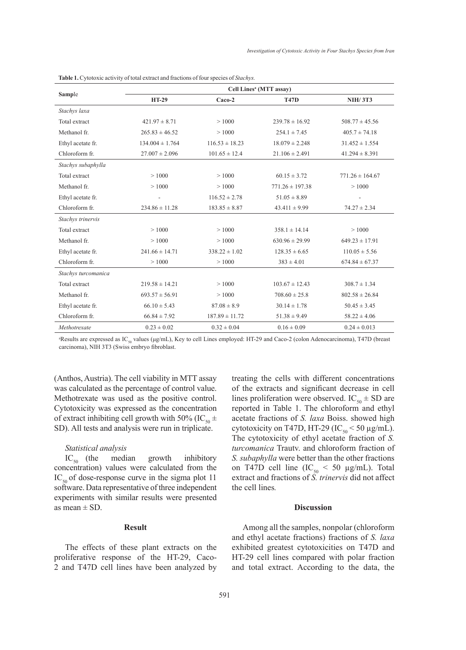|                     | Cell Lines <sup>a</sup> (MTT assav) |                    |                     |                     |
|---------------------|-------------------------------------|--------------------|---------------------|---------------------|
| Sample              | <b>HT-29</b>                        | Caco-2             | <b>T47D</b>         | <b>NIH/3T3</b>      |
| Stachys laxa        |                                     |                    |                     |                     |
| Total extract       | $421.97 \pm 8.71$                   | >1000              | $239.78 \pm 16.92$  | $508.77 \pm 45.56$  |
| Methanol fr.        | $265.83 \pm 46.52$                  | >1000              | $254.1 \pm 7.45$    | $405.7 \pm 74.18$   |
| Ethyl acetate fr.   | $134.004 \pm 1.764$                 | $116.53 \pm 18.23$ | $18.079 \pm 2.248$  | $31.452 \pm 1.554$  |
| Chloroform fr.      | $27.007 \pm 2.096$                  | $101.65 \pm 12.4$  | $21.106 \pm 2.491$  | $41.294 \pm 8.391$  |
| Stachys subaphylla  |                                     |                    |                     |                     |
| Total extract       | >1000                               | >1000              | $60.15 \pm 3.72$    | $771.26 \pm 164.67$ |
| Methanol fr.        | >1000                               | >1000              | $771.26 \pm 197.38$ | >1000               |
| Ethyl acetate fr.   |                                     | $116.52 \pm 2.78$  | $51.05 \pm 8.89$    |                     |
| Chloroform fr.      | $234.86 \pm 11.28$                  | $183.85 \pm 8.87$  | $43.411 \pm 9.99$   | $74.27 \pm 2.34$    |
| Stachys trinervis   |                                     |                    |                     |                     |
| Total extract       | >1000                               | >1000              | $358.1 \pm 14.14$   | >1000               |
| Methanol fr.        | >1000                               | >1000              | $630.96 \pm 29.99$  | $649.23 \pm 17.91$  |
| Ethyl acetate fr.   | $241.66 \pm 14.71$                  | $338.22 \pm 1.02$  | $128.35 \pm 6.65$   | $110.05 \pm 5.56$   |
| Chloroform fr.      | >1000                               | >1000              | $383 \pm 4.01$      | $674.84 \pm 67.37$  |
| Stachys turcomanica |                                     |                    |                     |                     |
| Total extract       | $219.58 \pm 14.21$                  | >1000              | $103.67 \pm 12.43$  | $308.7 \pm 1.34$    |
| Methanol fr.        | $693.57 \pm 56.91$                  | >1000              | $708.60 \pm 25.8$   | $802.58 \pm 26.84$  |
| Ethyl acetate fr.   | $66.10 \pm 5.43$                    | $87.08 \pm 8.9$    | $30.14 \pm 1.78$    | $50.45 \pm 3.45$    |
| Chloroform fr.      | $66.84 \pm 7.92$                    | $187.89 \pm 11.72$ | $51.38 \pm 9.49$    | $58.22 \pm 4.06$    |
| Methotrexate        | $0.23 \pm 0.02$                     | $0.32 \pm 0.04$    | $0.16 \pm 0.09$     | $0.24 \pm 0.013$    |

|  | Table 1. Cytotoxic activity of total extract and fractions of four species of Stachys. |  |
|--|----------------------------------------------------------------------------------------|--|
|--|----------------------------------------------------------------------------------------|--|

<sup>a</sup>Results are expressed as IC<sub>50</sub> values ( $\mu$ g/mL), Key to cell Lines employed: HT-29 and Caco-2 (colon Adenocarcinoma), T47D (breast carcinoma), NIH 3T3 (Swiss embryo fibroblast.

(Anthos, Austria). The cell viability in MTT assay was calculated as the percentage of control value. Methotrexate was used as the positive control. Cytotoxicity was expressed as the concentration of extract inhibiting cell growth with 50% (IC<sub>50</sub>  $\pm$ SD). All tests and analysis were run in triplicate.

#### *Statistical analysis*

 $IC_{\mathfrak{so}}$  (the median growth inhibitory concentration) values were calculated from the  $IC_{50}$  of dose-response curve in the sigma plot 11 software. Data representative of three independent experiments with similar results were presented as mean  $\pm$  SD.

# **Result**

The effects of these plant extracts on the proliferative response of the HT-29, Caco-2 and T47D cell lines have been analyzed by

treating the cells with different concentrations of the extracts and significant decrease in cell lines proliferation were observed. IC<sub>50</sub>  $\pm$  SD are reported in Table 1. The chloroform and ethyl acetate fractions of *S. laxa* Boiss. showed high cytotoxicity on T47D, HT-29 (IC<sub>50</sub> < 50 µg/mL). The cytotoxicity of ethyl acetate fraction of *S. turcomanica* Trautv. and chloroform fraction of *S. subaphylla* were better than the other fractions on T47D cell line  $(IC_{50} < 50 \text{ µg/mL})$ . Total extract and fractions of *S. trinervis* did not affect the cell lines*.*

# **Discussion**

Among all the samples, nonpolar (chloroform and ethyl acetate fractions) fractions of *S. laxa* exhibited greatest cytotoxicities on T47D and HT-29 cell lines compared with polar fraction and total extract. According to the data, the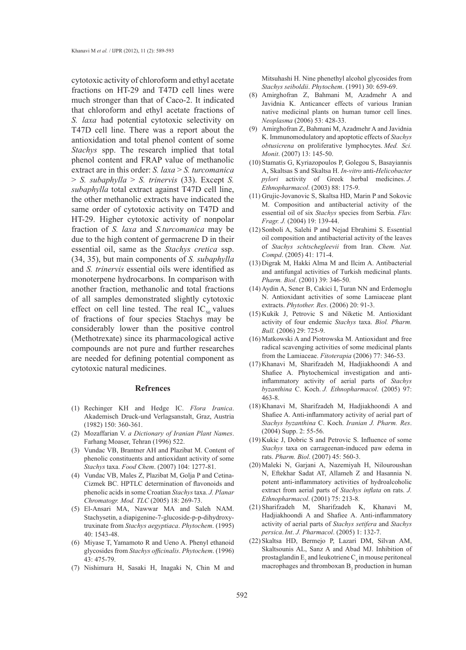cytotoxic activity of chloroform and ethyl acetate fractions on HT-29 and T47D cell lines were much stronger than that of Caco-2. It indicated that chloroform and ethyl acetate fractions of *S. laxa* had potential cytotoxic selectivity on T47D cell line. There was a report about the antioxidation and total phenol content of some *Stachys* spp. The research implied that total phenol content and FRAP value of methanolic extract are in this order: *S. laxa* > *S. turcomanica* > *S. subaphylla* > *S. trinervis* (33). Except *S. subaphylla* total extract against T47D cell line, the other methanolic extracts have indicated the same order of cytotoxic activity on T47D and HT-29. Higher cytotoxic activity of nonpolar fraction of *S. laxa* and *S.turcomanica* may be due to the high content of germacrene D in their essential oil, same as the *Stachys cretica* ssp. (34, 35), but main components of *S. subaphylla* and *S. trinervis* essential oils were identified as monoterpene hydrocarbons. In comparison with another fraction, methanolic and total fractions of all samples demonstrated slightly cytotoxic effect on cell line tested. The real  $IC_{50}$  values of fractions of four species Stachys may be considerably lower than the positive control (Methotrexate) since its pharmacological active compounds are not pure and further researches are needed for defining potential component as cytotoxic natural medicines.

## **Refrences**

- (1) Rechinger KH and Hedge IC. Flora Iranica. Akademisch Druck-und Verlagsanstalt, Graz, Austria (1982) 150: 360-361.
- Mozaffarian V. *a Dictionary of Iranian Plant Names*. (2) Farhang Moaser, Tehran (1996) 522.
- (3) Vundac VB, Brantner AH and Plazibat M. Content of phenolic constituents and antioxidant activity of some *Stachys* taxa. *Food Chem*. (2007) 104: 1277-81.
- (4) Vundac VB, Males Z, Plazibat M, Golja P and Cetina-Cizmek BC. HPTLC determination of flavonoids and phenolic acids in some Croatian *Stachys* taxa. *J. Planar Chromatogr. Mod. TLC* (2005) 18: 269-73.
- El-Ansari MA, Nawwar MA and Saleh NAM. (5) Stachysetin, a diapigenine-7-glucoside-p-p-dihydroxytruxinate from *Stachys aegyptiaca*. *Phytochem*. (1995) 40: 1543-48.
- $(6)$  Miyase T, Yamamoto R and Ueno A. Phenyl ethanoid glycosides from *Stachys officinalis*. *Phytochem*. (1996) 43: 475-79.
- (7) Nishimura H, Sasaki H, Inagaki N, Chin M and

Mitsuhashi H. Nine phenethyl alcohol glycosides from *Stachys seiboldii*. *Phytochem*. (1991) 30: 659-69.

- Amirghofran Z, Bahmani M, Azadmehr A and Javidnia K. Anticancer effects of various Iranian native medicinal plants on human tumor cell lines. *Neoplasma* (2006) 53: 428-33. (8)
- Amirghofran Z, Bahmani M, Azadmehr A and Javidnia (9) K. Immunomodulatory and apoptotic effects of *Stachys obtusicrena* on proliferative lymphocytes. *Med. Sci. Monit*. (2007) 13: 145-50.
- (10) Stamatis G, Kyriazopoulos P, Golegou S, Basayiannis A, Skaltsas S and Skaltsa H. *In-vitro* anti-*Helicobacter pylori* activity of Greek herbal medicines. *J. Ethnopharmacol*. (2003) 88: 175-9.
- (11) Grujic-Jovanovic S, Skaltsa HD, Marin P and Sokovic M. Composition and antibacterial activity of the essential oil of six *Stachys* species from Serbia. *Flav. Fragr. J.* (2004) 19: 139-44.
- (12) Sonboli A, Salehi P and Nejad Ebrahimi S. Essential oil composition and antibacterial activity of the leaves of *Stachys schtschegleevii* from Iran. *Chem. Nat. Compd*. (2005) 41: 171-4.
- (13) Digrak M, Hakki Alma M and Ilcim A. Antibacterial and antifungal activities of Turkish medicinal plants. *Pharm. Biol*. (2001) 39: 346-50.
- (14) Aydin A, Sener B, Cakici I, Turan NN and Erdemoglu N. Antioxidant activities of some Lamiaceae plant extracts. *Phytother. Res*. (2006) 20: 91-3.
- $(15)$  Kukik J, Petrovic S and Niketic M. Antioxidant activity of four endemic *Stachys* taxa. *Biol. Pharm. Bull.* (2006) 29: 725-9.
- (16) Matkowski A and Piotrowska M. Antioxidant and free radical scavenging activities of some medicinal plants from the Lamiaceae. *Fitoterapia* (2006) 77: 346-53.
- (17) Khanavi M, Sharifzadeh M, Hadjiakhoondi A and Shafiee A. Phytochemical investigation and antiinflammatory activity of aerial parts of *Stachys byzanthina* C. Koch. *J. Ethnopharmacol*. (2005) 97: 463-8.
- (18) Khanavi M, Sharifzadeh M, Hadjiakhoondi A and Shafiee A. Anti-inflammatory activity of aerial part of *Stachys byzanthina* C. Koch. *Iranian J. Pharm. Res*. (2004) Supp. 2: 55-56.
- $(19)$  Kukic J, Dobric S and Petrovic S. Influence of some *Stachys* taxa on carrageenan-induced paw edema in rats. *Pharm. Biol*. (2007) 45: 560-3.
- (20) Maleki N, Garjani A, Nazemiyah H, Nilouroushan N, Eftekhar Sadat AT, Allameh Z and Hasannia N. potent anti-inflammatory activities of hydroalcoholic extract from aerial parts of *Stachys inflata* on rats. *J. Ethnopharmacol*. (2001) 75: 213-8.
- Sharifzadeh M, Sharifzadeh K, Khanavi M, (21) Hadjiakhoondi A and Shafiee A. Anti-inflammatory activity of aerial parts of *Stachys setifera* and *Stachys persica*.*Int*. *J. Pharmacol*. (2005) 1: 132-7.
- (22) Skaltsa HD, Bermejo P, Lazari DM, Silvan AM, Skaltsounis AL, Sanz A and Abad MJ. Inhibition of prostaglandin  $E_2$  and leukotriene  $C_4$  in mouse peritoneal macrophages and thromboxan  $B_2$  production in human